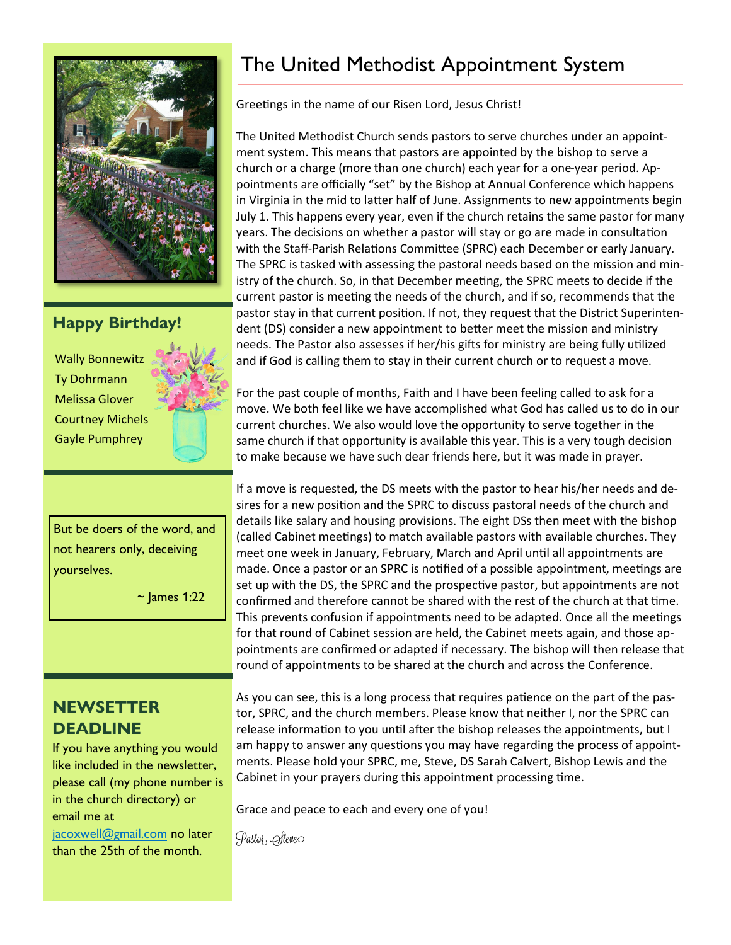

#### **Happy Birthday!**

Wally Bonnewitz Ty Dohrmann Melissa Glover Courtney Michels Gayle Pumphrey

But be doers of the word, and not hearers only, deceiving yourselves.

 $\sim$  James 1:22

#### **NEWSETTER DEADLINE**

If you have anything you would like included in the newsletter, please call (my phone number is in the church directory) or email me at

[jacoxwell@gmail.com](mailto:jacoxwell@gmail.com) no later than the 25th of the month.

## The United Methodist Appointment System

Greetings in the name of our Risen Lord, Jesus Christ!

The United Methodist Church sends pastors to serve churches under an appointment system. This means that pastors are appointed by the bishop to serve a church or a charge (more than one church) each year for a one-year period. Appointments are officially "set" by the Bishop at Annual Conference which happens in Virginia in the mid to latter half of June. Assignments to new appointments begin July 1. This happens every year, even if the church retains the same pastor for many years. The decisions on whether a pastor will stay or go are made in consultation with the Staff-Parish Relations Committee (SPRC) each December or early January. The SPRC is tasked with assessing the pastoral needs based on the mission and ministry of the church. So, in that December meeting, the SPRC meets to decide if the current pastor is meeting the needs of the church, and if so, recommends that the pastor stay in that current position. If not, they request that the District Superintendent (DS) consider a new appointment to better meet the mission and ministry needs. The Pastor also assesses if her/his gifts for ministry are being fully utilized and if God is calling them to stay in their current church or to request a move.

For the past couple of months, Faith and I have been feeling called to ask for a move. We both feel like we have accomplished what God has called us to do in our current churches. We also would love the opportunity to serve together in the same church if that opportunity is available this year. This is a very tough decision to make because we have such dear friends here, but it was made in prayer.

If a move is requested, the DS meets with the pastor to hear his/her needs and desires for a new position and the SPRC to discuss pastoral needs of the church and details like salary and housing provisions. The eight DSs then meet with the bishop (called Cabinet meetings) to match available pastors with available churches. They meet one week in January, February, March and April until all appointments are made. Once a pastor or an SPRC is notified of a possible appointment, meetings are set up with the DS, the SPRC and the prospective pastor, but appointments are not confirmed and therefore cannot be shared with the rest of the church at that time. This prevents confusion if appointments need to be adapted. Once all the meetings for that round of Cabinet session are held, the Cabinet meets again, and those appointments are confirmed or adapted if necessary. The bishop will then release that round of appointments to be shared at the church and across the Conference.

As you can see, this is a long process that requires patience on the part of the pastor, SPRC, and the church members. Please know that neither I, nor the SPRC can release information to you until after the bishop releases the appointments, but I am happy to answer any questions you may have regarding the process of appointments. Please hold your SPRC, me, Steve, DS Sarah Calvert, Bishop Lewis and the Cabinet in your prayers during this appointment processing time.

Grace and peace to each and every one of you!

Pastor, *Osteve*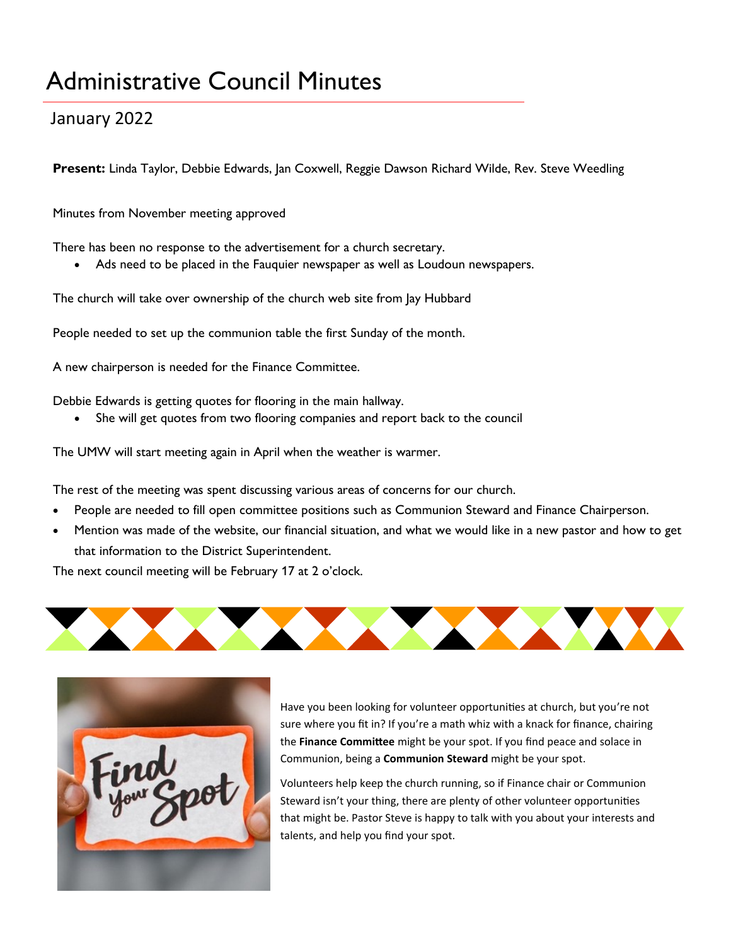## Administrative Council Minutes

### January 2022

**Present:** Linda Taylor, Debbie Edwards, Jan Coxwell, Reggie Dawson Richard Wilde, Rev. Steve Weedling

Minutes from November meeting approved

There has been no response to the advertisement for a church secretary.

• Ads need to be placed in the Fauquier newspaper as well as Loudoun newspapers.

The church will take over ownership of the church web site from Jay Hubbard

People needed to set up the communion table the first Sunday of the month.

A new chairperson is needed for the Finance Committee.

Debbie Edwards is getting quotes for flooring in the main hallway.

She will get quotes from two flooring companies and report back to the council

The UMW will start meeting again in April when the weather is warmer.

The rest of the meeting was spent discussing various areas of concerns for our church.

- People are needed to fill open committee positions such as Communion Steward and Finance Chairperson.
- Mention was made of the website, our financial situation, and what we would like in a new pastor and how to get that information to the District Superintendent.

The next council meeting will be February 17 at 2 o'clock.





Have you been looking for volunteer opportunities at church, but you're not sure where you fit in? If you're a math whiz with a knack for finance, chairing the **Finance Committee** might be your spot. If you find peace and solace in Communion, being a **Communion Steward** might be your spot.

Volunteers help keep the church running, so if Finance chair or Communion Steward isn't your thing, there are plenty of other volunteer opportunities that might be. Pastor Steve is happy to talk with you about your interests and talents, and help you find your spot.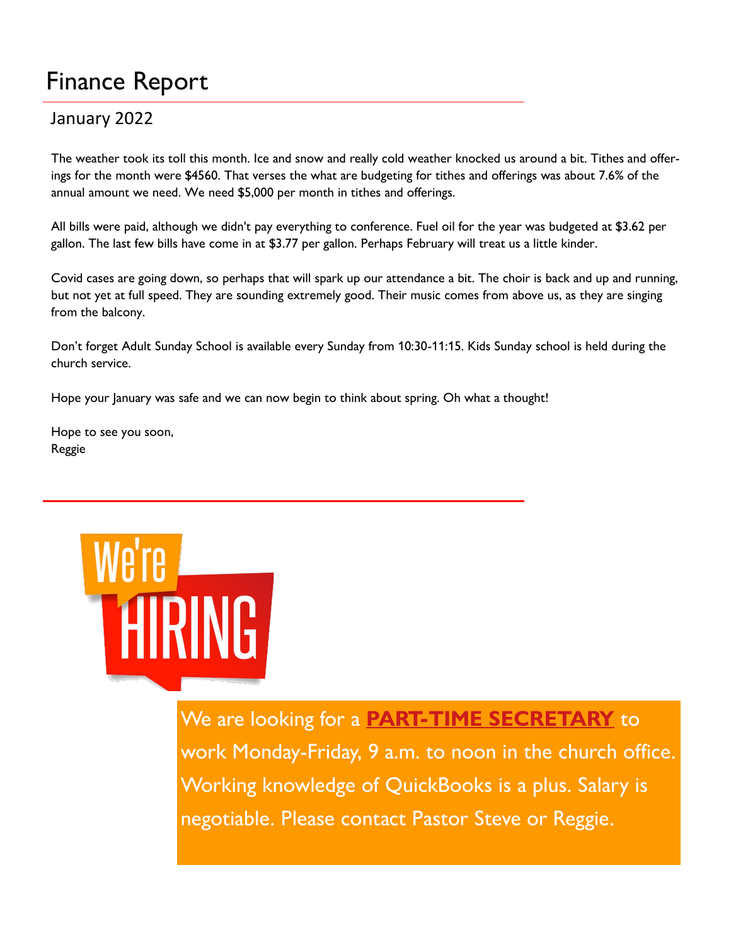# Finance Report

### January 2022

The weather took its toll this month. Ice and snow and really cold weather knocked us around a bit. Tithes and offerings for the month were \$4560. That verses the what are budgeting for tithes and offerings was about 7.6% of the annual amount we need. We need \$5,000 per month in tithes and offerings.

All bills were paid, although we didn't pay everything to conference. Fuel oil for the year was budgeted at \$3.62 per gallon. The last few bills have come in at \$3.77 per gallon. Perhaps February will treat us a little kinder.

Covid cases are going down, so perhaps that will spark up our attendance a bit. The choir is back and up and running, but not yet at full speed. They are sounding extremely good. Their music comes from above us, as they are singing from the balcony.

Don't forget Adult Sunday School is available every Sunday from 10:30-11:15. Kids Sunday school is held during the church service.

Hope your January was safe and we can now begin to think about spring. Oh what a thought!

Hope to see you soon, Reggie



### We are looking for a **PART-TIME SECRETARY** to

work Monday-Friday, 9 a.m. to noon in the church office. Working knowledge of QuickBooks is a plus. Salary is negotiable. Please contact Pastor Steve or Reggie.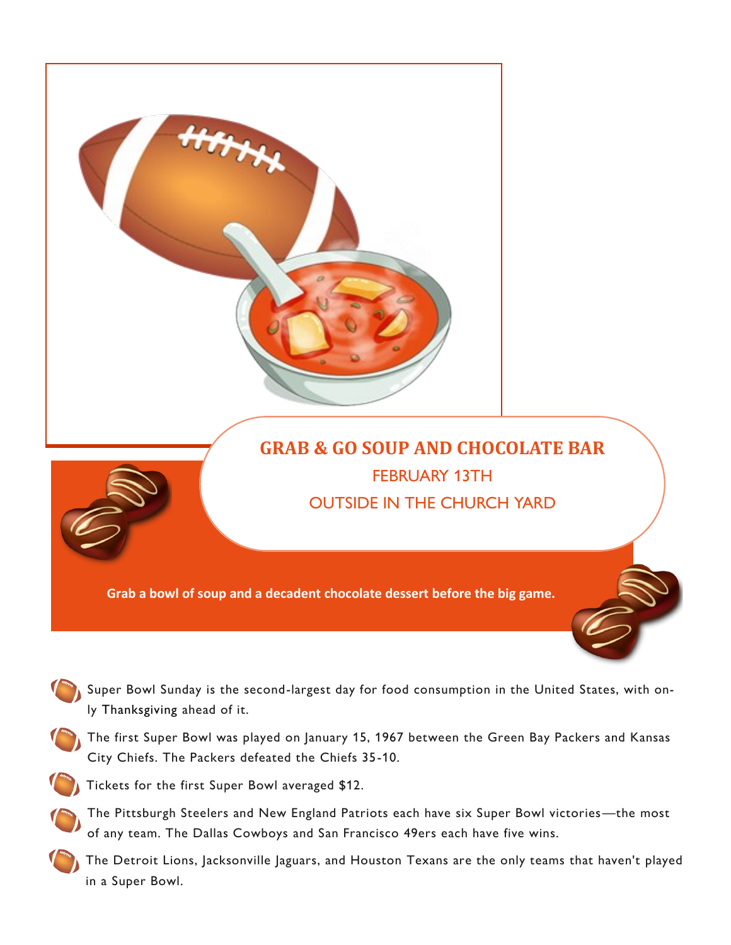

- Super Bowl Sunday is the second-largest day for food consumption in the United States, with only Thanksgiving ahead of it.
- The first Super Bowl was played on January 15, 1967 between the Green Bay Packers and Kansas City Chiefs. The Packers defeated the Chiefs 35-10.

Tickets for the first Super Bowl averaged \$12.

- The Pittsburgh Steelers and New England Patriots each have six Super Bowl victories—the most of any team. The Dallas Cowboys and San Francisco 49ers each have five wins.
- The Detroit Lions, Jacksonville Jaguars, and Houston Texans are the only teams that haven't played in a Super Bowl.